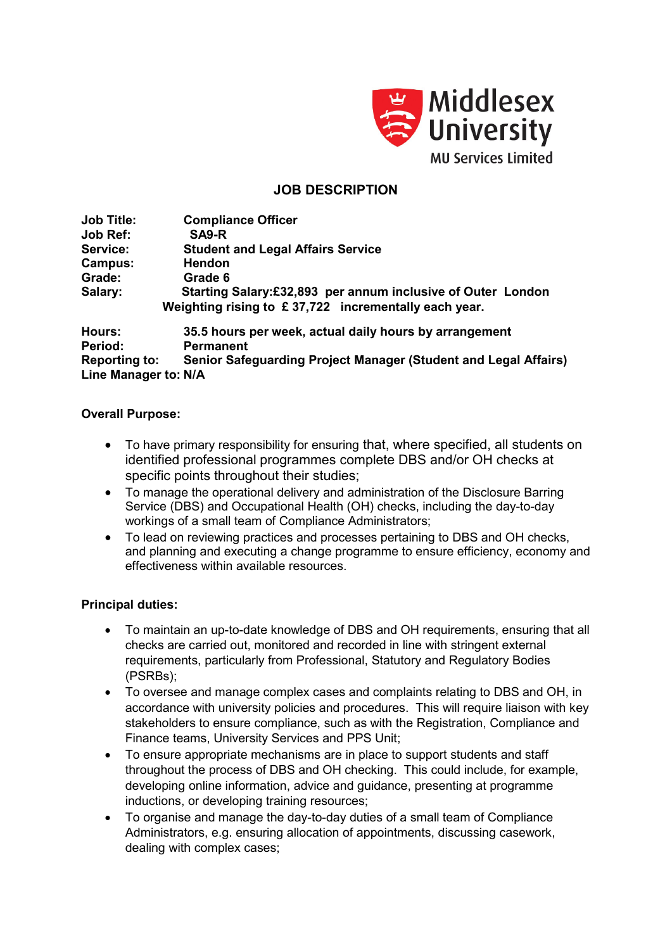

# **JOB DESCRIPTION**

**Job Title: Compliance Officer Job Ref: SA9-R Service: Student and Legal Affairs Service Campus: Hendon Grade: Grade 6 Salary: Starting Salary:£32,893 per annum inclusive of Outer London Weighting rising to £ 37,722 incrementally each year.**

**Hours: 35.5 hours per week, actual daily hours by arrangement Permanent Reporting to: Senior Safeguarding Project Manager (Student and Legal Affairs) Line Manager to: N/A**

## **Overall Purpose:**

- To have primary responsibility for ensuring that, where specified, all students on identified professional programmes complete DBS and/or OH checks at specific points throughout their studies;
- To manage the operational delivery and administration of the Disclosure Barring Service (DBS) and Occupational Health (OH) checks, including the day-to-day workings of a small team of Compliance Administrators;
- To lead on reviewing practices and processes pertaining to DBS and OH checks, and planning and executing a change programme to ensure efficiency, economy and effectiveness within available resources.

## **Principal duties:**

- To maintain an up-to-date knowledge of DBS and OH requirements, ensuring that all checks are carried out, monitored and recorded in line with stringent external requirements, particularly from Professional, Statutory and Regulatory Bodies (PSRBs);
- To oversee and manage complex cases and complaints relating to DBS and OH, in accordance with university policies and procedures. This will require liaison with key stakeholders to ensure compliance, such as with the Registration, Compliance and Finance teams, University Services and PPS Unit;
- To ensure appropriate mechanisms are in place to support students and staff throughout the process of DBS and OH checking. This could include, for example, developing online information, advice and guidance, presenting at programme inductions, or developing training resources;
- To organise and manage the day-to-day duties of a small team of Compliance Administrators, e.g. ensuring allocation of appointments, discussing casework, dealing with complex cases;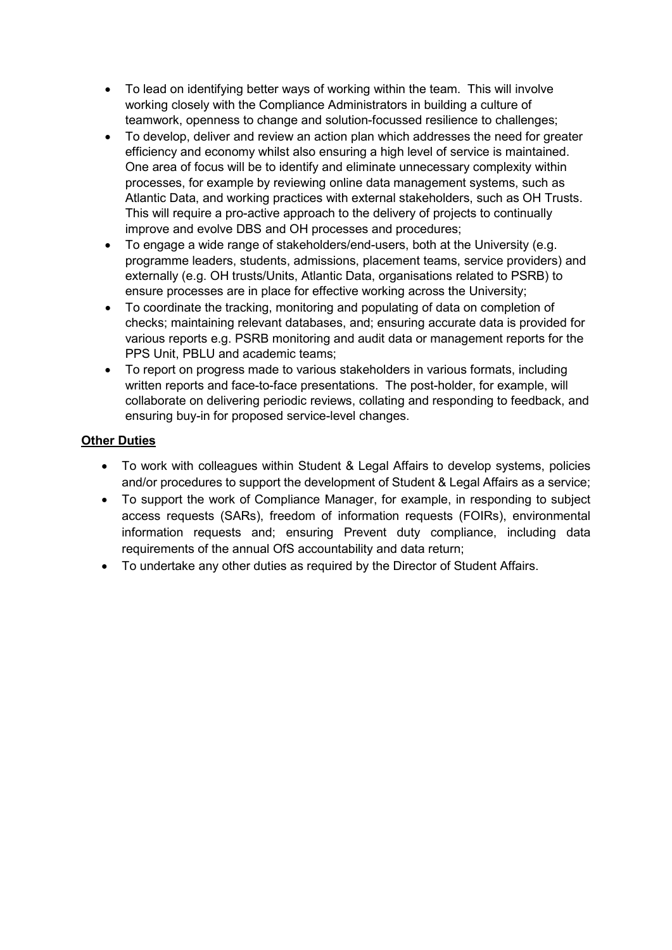- To lead on identifying better ways of working within the team. This will involve working closely with the Compliance Administrators in building a culture of teamwork, openness to change and solution-focussed resilience to challenges;
- To develop, deliver and review an action plan which addresses the need for greater efficiency and economy whilst also ensuring a high level of service is maintained. One area of focus will be to identify and eliminate unnecessary complexity within processes, for example by reviewing online data management systems, such as Atlantic Data, and working practices with external stakeholders, such as OH Trusts. This will require a pro-active approach to the delivery of projects to continually improve and evolve DBS and OH processes and procedures;
- To engage a wide range of stakeholders/end-users, both at the University (e.g. programme leaders, students, admissions, placement teams, service providers) and externally (e.g. OH trusts/Units, Atlantic Data, organisations related to PSRB) to ensure processes are in place for effective working across the University;
- To coordinate the tracking, monitoring and populating of data on completion of checks; maintaining relevant databases, and; ensuring accurate data is provided for various reports e.g. PSRB monitoring and audit data or management reports for the PPS Unit, PBLU and academic teams;
- To report on progress made to various stakeholders in various formats, including written reports and face-to-face presentations. The post-holder, for example, will collaborate on delivering periodic reviews, collating and responding to feedback, and ensuring buy-in for proposed service-level changes.

# **Other Duties**

- To work with colleagues within Student & Legal Affairs to develop systems, policies and/or procedures to support the development of Student & Legal Affairs as a service;
- To support the work of Compliance Manager, for example, in responding to subject access requests (SARs), freedom of information requests (FOIRs), environmental information requests and; ensuring Prevent duty compliance, including data requirements of the annual OfS accountability and data return;
- To undertake any other duties as required by the Director of Student Affairs.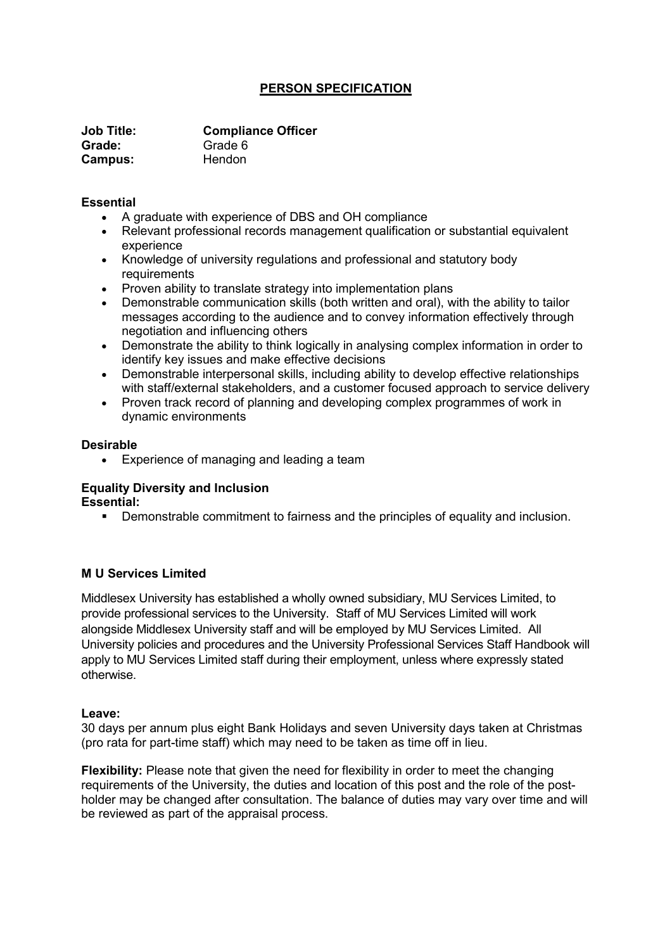# **PERSON SPECIFICATION**

| <b>Job Title:</b> | <b>Compliance Officer</b> |
|-------------------|---------------------------|
| Grade:            | Grade 6                   |
| Campus:           | Hendon                    |

### **Essential**

- A graduate with experience of DBS and OH compliance
- Relevant professional records management qualification or substantial equivalent experience
- Knowledge of university regulations and professional and statutory body requirements
- Proven ability to translate strategy into implementation plans
- Demonstrable communication skills (both written and oral), with the ability to tailor messages according to the audience and to convey information effectively through negotiation and influencing others
- Demonstrate the ability to think logically in analysing complex information in order to identify key issues and make effective decisions
- Demonstrable interpersonal skills, including ability to develop effective relationships with staff/external stakeholders, and a customer focused approach to service delivery
- Proven track record of planning and developing complex programmes of work in dynamic environments

## **Desirable**

• Experience of managing and leading a team

### **Equality Diversity and Inclusion Essential:**

Demonstrable commitment to fairness and the principles of equality and inclusion.

## **M U Services Limited**

Middlesex University has established a wholly owned subsidiary, MU Services Limited, to provide professional services to the University. Staff of MU Services Limited will work alongside Middlesex University staff and will be employed by MU Services Limited. All University policies and procedures and the University Professional Services Staff Handbook will apply to MU Services Limited staff during their employment, unless where expressly stated otherwise.

### **Leave:**

30 days per annum plus eight Bank Holidays and seven University days taken at Christmas (pro rata for part-time staff) which may need to be taken as time off in lieu.

**Flexibility:** Please note that given the need for flexibility in order to meet the changing requirements of the University, the duties and location of this post and the role of the postholder may be changed after consultation. The balance of duties may vary over time and will be reviewed as part of the appraisal process.